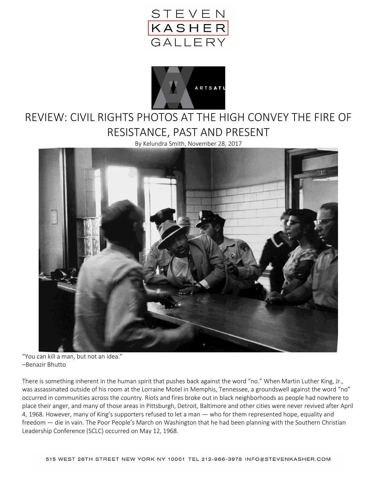



## REVIEW: CIVIL RIGHTS PHOTOS AT THE HIGH CONVEY THE FIRE OF RESISTANCE, PAST AND PRESENT

By Kelundra Smith, November 28, 2017



"You can kill a man, but not an idea." –Benazir Bhutto

There is something inherent in the human spirit that pushes back against the word "no." When Martin Luther King, Jr., was assassinated outside of his room at the Lorraine Motel in Memphis, Tennessee, a groundswell against the word "no" occurred in communities across the country. Riots and fires broke out in black neighborhoods as people had nowhere to place their anger, and many of those areas in Pittsburgh, Detroit, Baltimore and other cities were never revived after April 4, 1968. However, many of King's supporters refused to let a man — who for them represented hope, equality and freedom — die in vain. The Poor People's March on Washington that he had been planning with the Southern Christian Leadership Conference (SCLC) occurred on May 12, 1968.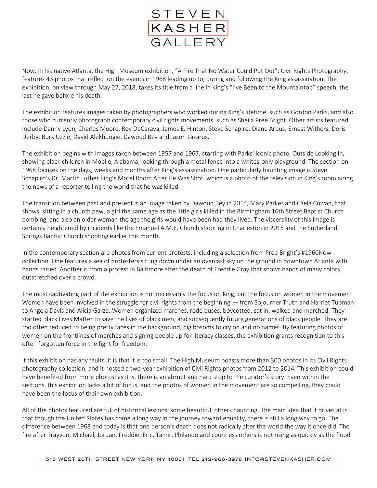

Now, in his native Atlanta, the High Museum exhibition, "A Fire That No Water Could Put Out": Civil Rights Photography, features 43 photos that reflect on the events in 1968 leading up to, during and following the King assassination. The exhibition, on view through May 27, 2018, takes its title from a line in King's "I've Been to the Mountaintop" speech, the last he gave before his death.

The exhibition features images taken by photographers who worked during King's lifetime, such as Gordon Parks, and also those who currently photograph contemporary civil rights movements, such as Sheila Pree Bright. Other artists featured include Danny Lyon, Charles Moore, Roy DeCarava, James E. Hinton, Steve Schapiro, Diane Arbus, Ernest Withers, Doris Derby, Burk Uzzle, David Alekhuogie, Dawoud Bey and Jason Lazarus.

The exhibition begins with images taken between 1957 and 1967, starting with Parks' iconic photo, Outside Looking In, showing black children in Mobile, Alabama, looking through a metal fence into a whites-only playground. The section on 1968 focuses on the days, weeks and months after King's assassination. One particularly haunting image is Steve Schapiro's Dr. Martin Luther King's Motel Room After He Was Shot, which is a photo of the television in King's room airing the news of a reporter telling the world that he was killed.

The transition between past and present is an image taken by Dawoud Bey in 2014, Mary Parker and Caela Cowan, that shows, sitting in a church pew, a girl the same age as the little girls killed in the Birmingham 16th Street Baptist Church bombing, and also an older woman the age the girls would have been had they lived. The viscerality of this image is certainly heightened by incidents like the Emanuel A.M.E. Church shooting in Charleston in 2015 and the Sutherland Springs Baptist Church shooting earlier this month.

In the contemporary section are photos from current protests, including a selection from Pree Bright's #1960Now collection. One features a sea of protesters sitting down under an overcast sky on the ground in downtown Atlanta with hands raised. Another is from a protest in Baltimore after the death of Freddie Gray that shows hands of many colors outstretched over a crowd.

The most captivating part of the exhibition is not necessarily the focus on King, but the focus on women in the movement. Women have been involved in the struggle for civil rights from the beginning — from Sojourner Truth and Harriet Tubman to Angela Davis and Alicia Garza. Women organized marches, rode buses, boycotted, sat in, walked and marched. They started Black Lives Matter to save the lives of black men, and subsequently future generations of black people. They are too often reduced to being pretty faces in the background, big bosoms to cry on and no names. By featuring photos of women on the frontlines of marches and signing people up for literacy classes, the exhibition grants recognition to this often forgotten force in the fight for freedom.

If this exhibition has any faults, it is that it is too small. The High Museum boasts more than 300 photos in its Civil Rights photography collection, and it hosted a two-year exhibition of Civil Rights photos from 2012 to 2014. This exhibition could have benefited from more photos; as it is, there is an abrupt and hard stop to the curator's story. Even within the sections, this exhibition lacks a bit of focus, and the photos of women in the movement are so compelling, they could have been the focus of their own exhibition.

All of the photos featured are full of historical lessons, some beautiful, others haunting. The main idea that it drives at is that though the United States has come a long way in the journey toward equality, there is still a long way to go. The difference between 1968 and today is that one person's death does not radically alter the world the way it once did. The fire after Trayvon, Michael, Jordan, Freddie, Eric, Tamir, Philando and countless others is not rising as quickly as the flood